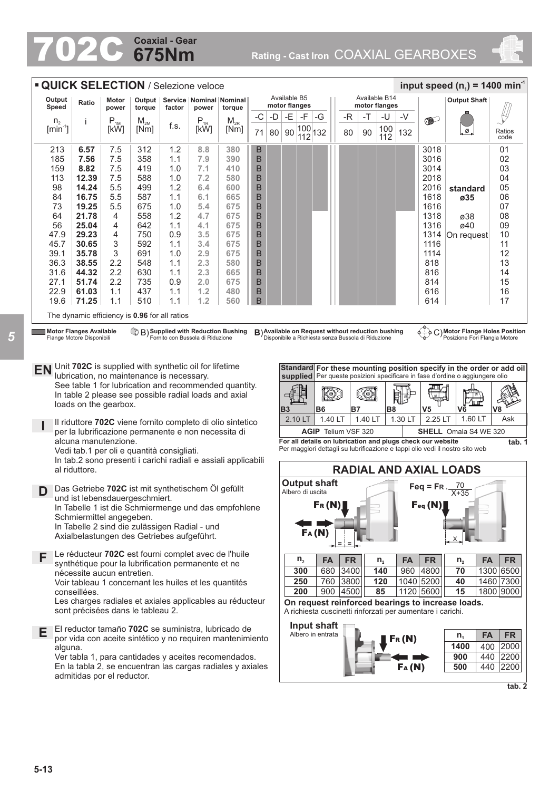# **675Nm Coaxial - Gear**

702C **Rating - Cast Iron** COAXIAL GEARBOXES